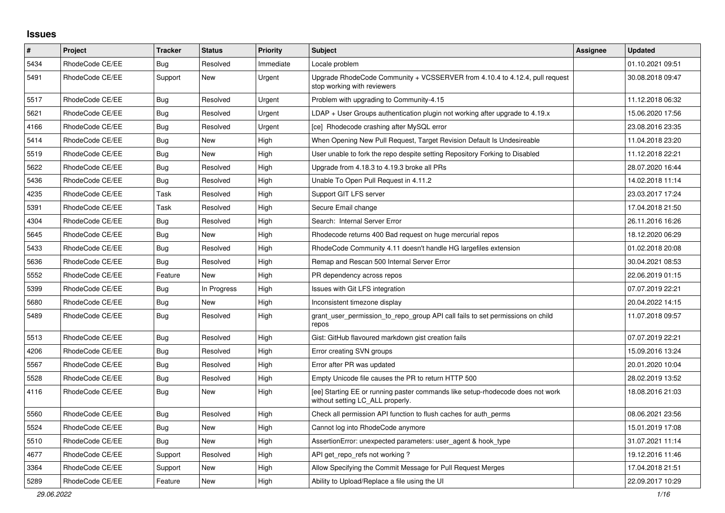## **Issues**

| #    | <b>Project</b>  | <b>Tracker</b> | <b>Status</b> | <b>Priority</b> | <b>Subject</b>                                                                                                     | <b>Assignee</b> | <b>Updated</b>   |
|------|-----------------|----------------|---------------|-----------------|--------------------------------------------------------------------------------------------------------------------|-----------------|------------------|
| 5434 | RhodeCode CE/EE | Bug            | Resolved      | Immediate       | Locale problem                                                                                                     |                 | 01.10.2021 09:51 |
| 5491 | RhodeCode CE/EE | Support        | New           | Urgent          | Upgrade RhodeCode Community + VCSSERVER from 4.10.4 to 4.12.4, pull request<br>stop working with reviewers         |                 | 30.08.2018 09:47 |
| 5517 | RhodeCode CE/EE | <b>Bug</b>     | Resolved      | Urgent          | Problem with upgrading to Community-4.15                                                                           |                 | 11.12.2018 06:32 |
| 5621 | RhodeCode CE/EE | Bug            | Resolved      | Urgent          | $LDAP + User Groups$ authentication plugin not working after upgrade to 4.19. $x$                                  |                 | 15.06.2020 17:56 |
| 4166 | RhodeCode CE/EE | <b>Bug</b>     | Resolved      | Urgent          | [ce] Rhodecode crashing after MySQL error                                                                          |                 | 23.08.2016 23:35 |
| 5414 | RhodeCode CE/EE | Bug            | New           | High            | When Opening New Pull Request, Target Revision Default Is Undesireable                                             |                 | 11.04.2018 23:20 |
| 5519 | RhodeCode CE/EE | Bug            | New           | High            | User unable to fork the repo despite setting Repository Forking to Disabled                                        |                 | 11.12.2018 22:21 |
| 5622 | RhodeCode CE/EE | <b>Bug</b>     | Resolved      | High            | Upgrade from 4.18.3 to 4.19.3 broke all PRs                                                                        |                 | 28.07.2020 16:44 |
| 5436 | RhodeCode CE/EE | Bug            | Resolved      | High            | Unable To Open Pull Request in 4.11.2                                                                              |                 | 14.02.2018 11:14 |
| 4235 | RhodeCode CE/EE | Task           | Resolved      | High            | Support GIT LFS server                                                                                             |                 | 23.03.2017 17:24 |
| 5391 | RhodeCode CE/EE | Task           | Resolved      | High            | Secure Email change                                                                                                |                 | 17.04.2018 21:50 |
| 4304 | RhodeCode CE/EE | Bug            | Resolved      | High            | Search: Internal Server Error                                                                                      |                 | 26.11.2016 16:26 |
| 5645 | RhodeCode CE/EE | Bug            | New           | High            | Rhodecode returns 400 Bad request on huge mercurial repos                                                          |                 | 18.12.2020 06:29 |
| 5433 | RhodeCode CE/EE | <b>Bug</b>     | Resolved      | High            | RhodeCode Community 4.11 doesn't handle HG largefiles extension                                                    |                 | 01.02.2018 20:08 |
| 5636 | RhodeCode CE/EE | Bug            | Resolved      | High            | Remap and Rescan 500 Internal Server Error                                                                         |                 | 30.04.2021 08:53 |
| 5552 | RhodeCode CE/EE | Feature        | <b>New</b>    | High            | PR dependency across repos                                                                                         |                 | 22.06.2019 01:15 |
| 5399 | RhodeCode CE/EE | Bug            | In Progress   | High            | Issues with Git LFS integration                                                                                    |                 | 07.07.2019 22:21 |
| 5680 | RhodeCode CE/EE | Bug            | New           | High            | Inconsistent timezone display                                                                                      |                 | 20.04.2022 14:15 |
| 5489 | RhodeCode CE/EE | Bug            | Resolved      | High            | grant user permission to repo group API call fails to set permissions on child<br>repos                            |                 | 11.07.2018 09:57 |
| 5513 | RhodeCode CE/EE | <b>Bug</b>     | Resolved      | High            | Gist: GitHub flavoured markdown gist creation fails                                                                |                 | 07.07.2019 22:21 |
| 4206 | RhodeCode CE/EE | <b>Bug</b>     | Resolved      | High            | Error creating SVN groups                                                                                          |                 | 15.09.2016 13:24 |
| 5567 | RhodeCode CE/EE | Bug            | Resolved      | High            | Error after PR was updated                                                                                         |                 | 20.01.2020 10:04 |
| 5528 | RhodeCode CE/EE | Bug            | Resolved      | High            | Empty Unicode file causes the PR to return HTTP 500                                                                |                 | 28.02.2019 13:52 |
| 4116 | RhodeCode CE/EE | Bug            | New           | High            | [ee] Starting EE or running paster commands like setup-rhodecode does not work<br>without setting LC ALL properly. |                 | 18.08.2016 21:03 |
| 5560 | RhodeCode CE/EE | Bug            | Resolved      | High            | Check all permission API function to flush caches for auth_perms                                                   |                 | 08.06.2021 23:56 |
| 5524 | RhodeCode CE/EE | <b>Bug</b>     | New           | High            | Cannot log into RhodeCode anymore                                                                                  |                 | 15.01.2019 17:08 |
| 5510 | RhodeCode CE/EE | <b>Bug</b>     | <b>New</b>    | High            | AssertionError: unexpected parameters: user_agent & hook_type                                                      |                 | 31.07.2021 11:14 |
| 4677 | RhodeCode CE/EE | Support        | Resolved      | High            | API get repo refs not working?                                                                                     |                 | 19.12.2016 11:46 |
| 3364 | RhodeCode CE/EE | Support        | New           | High            | Allow Specifying the Commit Message for Pull Request Merges                                                        |                 | 17.04.2018 21:51 |
| 5289 | RhodeCode CE/EE | Feature        | New           | High            | Ability to Upload/Replace a file using the UI                                                                      |                 | 22.09.2017 10:29 |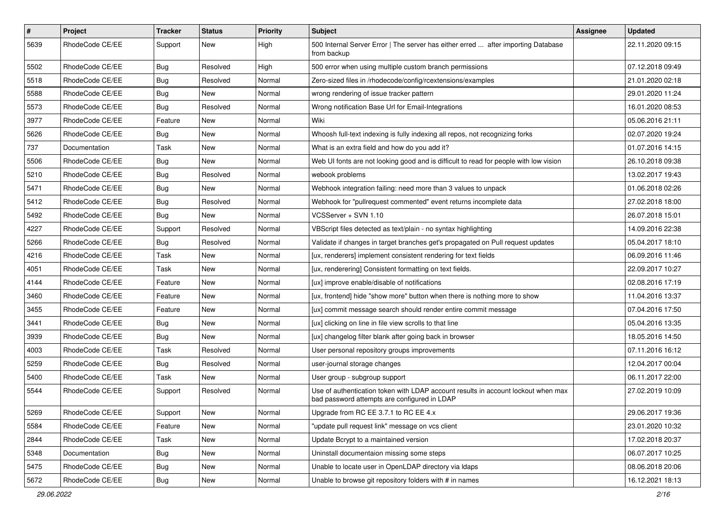| $\vert$ # | Project         | <b>Tracker</b> | <b>Status</b> | <b>Priority</b> | <b>Subject</b>                                                                                                                    | <b>Assignee</b> | <b>Updated</b>   |
|-----------|-----------------|----------------|---------------|-----------------|-----------------------------------------------------------------------------------------------------------------------------------|-----------------|------------------|
| 5639      | RhodeCode CE/EE | Support        | New           | High            | 500 Internal Server Error   The server has either erred  after importing Database<br>from backup                                  |                 | 22.11.2020 09:15 |
| 5502      | RhodeCode CE/EE | Bug            | Resolved      | High            | 500 error when using multiple custom branch permissions                                                                           |                 | 07.12.2018 09:49 |
| 5518      | RhodeCode CE/EE | <b>Bug</b>     | Resolved      | Normal          | Zero-sized files in /rhodecode/config/rcextensions/examples                                                                       |                 | 21.01.2020 02:18 |
| 5588      | RhodeCode CE/EE | Bug            | New           | Normal          | wrong rendering of issue tracker pattern                                                                                          |                 | 29.01.2020 11:24 |
| 5573      | RhodeCode CE/EE | <b>Bug</b>     | Resolved      | Normal          | Wrong notification Base Url for Email-Integrations                                                                                |                 | 16.01.2020 08:53 |
| 3977      | RhodeCode CE/EE | Feature        | New           | Normal          | Wiki                                                                                                                              |                 | 05.06.2016 21:11 |
| 5626      | RhodeCode CE/EE | Bug            | New           | Normal          | Whoosh full-text indexing is fully indexing all repos, not recognizing forks                                                      |                 | 02.07.2020 19:24 |
| 737       | Documentation   | Task           | New           | Normal          | What is an extra field and how do you add it?                                                                                     |                 | 01.07.2016 14:15 |
| 5506      | RhodeCode CE/EE | <b>Bug</b>     | New           | Normal          | Web UI fonts are not looking good and is difficult to read for people with low vision                                             |                 | 26.10.2018 09:38 |
| 5210      | RhodeCode CE/EE | Bug            | Resolved      | Normal          | webook problems                                                                                                                   |                 | 13.02.2017 19:43 |
| 5471      | RhodeCode CE/EE | <b>Bug</b>     | New           | Normal          | Webhook integration failing: need more than 3 values to unpack                                                                    |                 | 01.06.2018 02:26 |
| 5412      | RhodeCode CE/EE | Bug            | Resolved      | Normal          | Webhook for "pullrequest commented" event returns incomplete data                                                                 |                 | 27.02.2018 18:00 |
| 5492      | RhodeCode CE/EE | <b>Bug</b>     | New           | Normal          | VCSServer + SVN 1.10                                                                                                              |                 | 26.07.2018 15:01 |
| 4227      | RhodeCode CE/EE | Support        | Resolved      | Normal          | VBScript files detected as text/plain - no syntax highlighting                                                                    |                 | 14.09.2016 22:38 |
| 5266      | RhodeCode CE/EE | Bug            | Resolved      | Normal          | Validate if changes in target branches get's propagated on Pull request updates                                                   |                 | 05.04.2017 18:10 |
| 4216      | RhodeCode CE/EE | Task           | New           | Normal          | [ux, renderers] implement consistent rendering for text fields                                                                    |                 | 06.09.2016 11:46 |
| 4051      | RhodeCode CE/EE | Task           | New           | Normal          | [ux, renderering] Consistent formatting on text fields.                                                                           |                 | 22.09.2017 10:27 |
| 4144      | RhodeCode CE/EE | Feature        | New           | Normal          | [ux] improve enable/disable of notifications                                                                                      |                 | 02.08.2016 17:19 |
| 3460      | RhodeCode CE/EE | Feature        | New           | Normal          | [ux, frontend] hide "show more" button when there is nothing more to show                                                         |                 | 11.04.2016 13:37 |
| 3455      | RhodeCode CE/EE | Feature        | New           | Normal          | [ux] commit message search should render entire commit message                                                                    |                 | 07.04.2016 17:50 |
| 3441      | RhodeCode CE/EE | Bug            | New           | Normal          | [ux] clicking on line in file view scrolls to that line                                                                           |                 | 05.04.2016 13:35 |
| 3939      | RhodeCode CE/EE | Bug            | New           | Normal          | [ux] changelog filter blank after going back in browser                                                                           |                 | 18.05.2016 14:50 |
| 4003      | RhodeCode CE/EE | Task           | Resolved      | Normal          | User personal repository groups improvements                                                                                      |                 | 07.11.2016 16:12 |
| 5259      | RhodeCode CE/EE | <b>Bug</b>     | Resolved      | Normal          | user-journal storage changes                                                                                                      |                 | 12.04.2017 00:04 |
| 5400      | RhodeCode CE/EE | Task           | <b>New</b>    | Normal          | User group - subgroup support                                                                                                     |                 | 06.11.2017 22:00 |
| 5544      | RhodeCode CE/EE | Support        | Resolved      | Normal          | Use of authentication token with LDAP account results in account lockout when max<br>bad password attempts are configured in LDAP |                 | 27.02.2019 10:09 |
| 5269      | RhodeCode CE/EE | Support        | New           | Normal          | Upgrade from RC EE 3.7.1 to RC EE 4.x                                                                                             |                 | 29.06.2017 19:36 |
| 5584      | RhodeCode CE/EE | Feature        | New           | Normal          | "update pull request link" message on vcs client                                                                                  |                 | 23.01.2020 10:32 |
| 2844      | RhodeCode CE/EE | Task           | New           | Normal          | Update Bcrypt to a maintained version                                                                                             |                 | 17.02.2018 20:37 |
| 5348      | Documentation   | <b>Bug</b>     | New           | Normal          | Uninstall documentaion missing some steps                                                                                         |                 | 06.07.2017 10:25 |
| 5475      | RhodeCode CE/EE | Bug            | New           | Normal          | Unable to locate user in OpenLDAP directory via Idaps                                                                             |                 | 08.06.2018 20:06 |
| 5672      | RhodeCode CE/EE | <b>Bug</b>     | New           | Normal          | Unable to browse git repository folders with # in names                                                                           |                 | 16.12.2021 18:13 |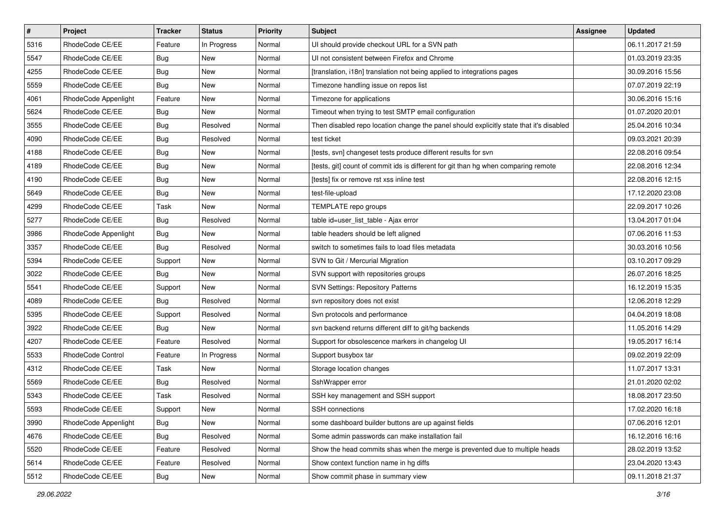| $\pmb{\#}$ | Project              | <b>Tracker</b> | <b>Status</b> | <b>Priority</b> | Subject                                                                                 | Assignee | <b>Updated</b>   |
|------------|----------------------|----------------|---------------|-----------------|-----------------------------------------------------------------------------------------|----------|------------------|
| 5316       | RhodeCode CE/EE      | Feature        | In Progress   | Normal          | UI should provide checkout URL for a SVN path                                           |          | 06.11.2017 21:59 |
| 5547       | RhodeCode CE/EE      | <b>Bug</b>     | New           | Normal          | UI not consistent between Firefox and Chrome                                            |          | 01.03.2019 23:35 |
| 4255       | RhodeCode CE/EE      | <b>Bug</b>     | New           | Normal          | [translation, i18n] translation not being applied to integrations pages                 |          | 30.09.2016 15:56 |
| 5559       | RhodeCode CE/EE      | Bug            | New           | Normal          | Timezone handling issue on repos list                                                   |          | 07.07.2019 22:19 |
| 4061       | RhodeCode Appenlight | Feature        | New           | Normal          | Timezone for applications                                                               |          | 30.06.2016 15:16 |
| 5624       | RhodeCode CE/EE      | Bug            | <b>New</b>    | Normal          | Timeout when trying to test SMTP email configuration                                    |          | 01.07.2020 20:01 |
| 3555       | RhodeCode CE/EE      | Bug            | Resolved      | Normal          | Then disabled repo location change the panel should explicitly state that it's disabled |          | 25.04.2016 10:34 |
| 4090       | RhodeCode CE/EE      | <b>Bug</b>     | Resolved      | Normal          | test ticket                                                                             |          | 09.03.2021 20:39 |
| 4188       | RhodeCode CE/EE      | Bug            | New           | Normal          | [tests, svn] changeset tests produce different results for svn                          |          | 22.08.2016 09:54 |
| 4189       | RhodeCode CE/EE      | Bug            | New           | Normal          | [tests, git] count of commit ids is different for git than hg when comparing remote     |          | 22.08.2016 12:34 |
| 4190       | RhodeCode CE/EE      | Bug            | New           | Normal          | [tests] fix or remove rst xss inline test                                               |          | 22.08.2016 12:15 |
| 5649       | RhodeCode CE/EE      | Bug            | New           | Normal          | test-file-upload                                                                        |          | 17.12.2020 23:08 |
| 4299       | RhodeCode CE/EE      | <b>Task</b>    | New           | Normal          | TEMPLATE repo groups                                                                    |          | 22.09.2017 10:26 |
| 5277       | RhodeCode CE/EE      | Bug            | Resolved      | Normal          | table id=user list table - Ajax error                                                   |          | 13.04.2017 01:04 |
| 3986       | RhodeCode Appenlight | Bug            | New           | Normal          | table headers should be left aligned                                                    |          | 07.06.2016 11:53 |
| 3357       | RhodeCode CE/EE      | Bug            | Resolved      | Normal          | switch to sometimes fails to load files metadata                                        |          | 30.03.2016 10:56 |
| 5394       | RhodeCode CE/EE      | Support        | New           | Normal          | SVN to Git / Mercurial Migration                                                        |          | 03.10.2017 09:29 |
| 3022       | RhodeCode CE/EE      | Bug            | <b>New</b>    | Normal          | SVN support with repositories groups                                                    |          | 26.07.2016 18:25 |
| 5541       | RhodeCode CE/EE      | Support        | <b>New</b>    | Normal          | <b>SVN Settings: Repository Patterns</b>                                                |          | 16.12.2019 15:35 |
| 4089       | RhodeCode CE/EE      | Bug            | Resolved      | Normal          | svn repository does not exist                                                           |          | 12.06.2018 12:29 |
| 5395       | RhodeCode CE/EE      | Support        | Resolved      | Normal          | Svn protocols and performance                                                           |          | 04.04.2019 18:08 |
| 3922       | RhodeCode CE/EE      | Bug            | <b>New</b>    | Normal          | svn backend returns different diff to git/hg backends                                   |          | 11.05.2016 14:29 |
| 4207       | RhodeCode CE/EE      | Feature        | Resolved      | Normal          | Support for obsolescence markers in changelog UI                                        |          | 19.05.2017 16:14 |
| 5533       | RhodeCode Control    | Feature        | In Progress   | Normal          | Support busybox tar                                                                     |          | 09.02.2019 22:09 |
| 4312       | RhodeCode CE/EE      | Task           | New           | Normal          | Storage location changes                                                                |          | 11.07.2017 13:31 |
| 5569       | RhodeCode CE/EE      | <b>Bug</b>     | Resolved      | Normal          | SshWrapper error                                                                        |          | 21.01.2020 02:02 |
| 5343       | RhodeCode CE/EE      | Task           | Resolved      | Normal          | SSH key management and SSH support                                                      |          | 18.08.2017 23:50 |
| 5593       | RhodeCode CE/EE      | Support        | New           | Normal          | SSH connections                                                                         |          | 17.02.2020 16:18 |
| 3990       | RhodeCode Appenlight | Bug            | New           | Normal          | some dashboard builder buttons are up against fields                                    |          | 07.06.2016 12:01 |
| 4676       | RhodeCode CE/EE      | Bug            | Resolved      | Normal          | Some admin passwords can make installation fail                                         |          | 16.12.2016 16:16 |
| 5520       | RhodeCode CE/EE      | Feature        | Resolved      | Normal          | Show the head commits shas when the merge is prevented due to multiple heads            |          | 28.02.2019 13:52 |
| 5614       | RhodeCode CE/EE      | Feature        | Resolved      | Normal          | Show context function name in hg diffs                                                  |          | 23.04.2020 13:43 |
| 5512       | RhodeCode CE/EE      | <b>Bug</b>     | New           | Normal          | Show commit phase in summary view                                                       |          | 09.11.2018 21:37 |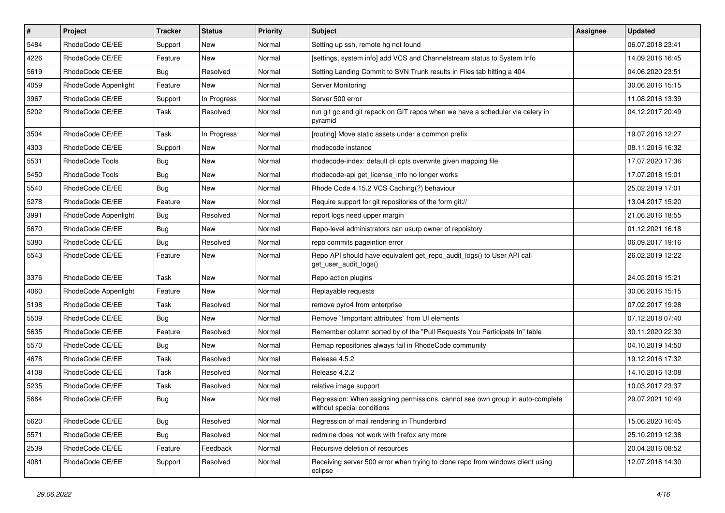| $\pmb{\#}$ | <b>Project</b>       | <b>Tracker</b> | <b>Status</b> | <b>Priority</b> | <b>Subject</b>                                                                                              | Assignee | <b>Updated</b>   |
|------------|----------------------|----------------|---------------|-----------------|-------------------------------------------------------------------------------------------------------------|----------|------------------|
| 5484       | RhodeCode CE/EE      | Support        | New           | Normal          | Setting up ssh, remote hg not found                                                                         |          | 06.07.2018 23:41 |
| 4226       | RhodeCode CE/EE      | Feature        | <b>New</b>    | Normal          | [settings, system info] add VCS and Channelstream status to System Info                                     |          | 14.09.2016 16:45 |
| 5619       | RhodeCode CE/EE      | Bug            | Resolved      | Normal          | Setting Landing Commit to SVN Trunk results in Files tab hitting a 404                                      |          | 04.06.2020 23:51 |
| 4059       | RhodeCode Appenlight | Feature        | New           | Normal          | Server Monitoring                                                                                           |          | 30.06.2016 15:15 |
| 3967       | RhodeCode CE/EE      | Support        | In Progress   | Normal          | Server 500 error                                                                                            |          | 11.08.2016 13:39 |
| 5202       | RhodeCode CE/EE      | Task           | Resolved      | Normal          | run git gc and git repack on GIT repos when we have a scheduler via celery in<br>pyramid                    |          | 04.12.2017 20:49 |
| 3504       | RhodeCode CE/EE      | Task           | In Progress   | Normal          | [routing] Move static assets under a common prefix                                                          |          | 19.07.2016 12:27 |
| 4303       | RhodeCode CE/EE      | Support        | New           | Normal          | rhodecode instance                                                                                          |          | 08.11.2016 16:32 |
| 5531       | RhodeCode Tools      | Bug            | <b>New</b>    | Normal          | rhodecode-index: default cli opts overwrite given mapping file                                              |          | 17.07.2020 17:36 |
| 5450       | RhodeCode Tools      | Bug            | New           | Normal          | rhodecode-api get license info no longer works                                                              |          | 17.07.2018 15:01 |
| 5540       | RhodeCode CE/EE      | Bug            | New           | Normal          | Rhode Code 4.15.2 VCS Caching(?) behaviour                                                                  |          | 25.02.2019 17:01 |
| 5278       | RhodeCode CE/EE      | Feature        | <b>New</b>    | Normal          | Require support for git repositories of the form git://                                                     |          | 13.04.2017 15:20 |
| 3991       | RhodeCode Appenlight | <b>Bug</b>     | Resolved      | Normal          | report logs need upper margin                                                                               |          | 21.06.2016 18:55 |
| 5670       | RhodeCode CE/EE      | Bug            | <b>New</b>    | Normal          | Repo-level administrators can usurp owner of repoistory                                                     |          | 01.12.2021 16:18 |
| 5380       | RhodeCode CE/EE      | Bug            | Resolved      | Normal          | repo commits pageintion error                                                                               |          | 06.09.2017 19:16 |
| 5543       | RhodeCode CE/EE      | Feature        | New           | Normal          | Repo API should have equivalent get repo audit logs() to User API call<br>get_user_audit_logs()             |          | 26.02.2019 12:22 |
| 3376       | RhodeCode CE/EE      | Task           | <b>New</b>    | Normal          | Repo action plugins                                                                                         |          | 24.03.2016 15:21 |
| 4060       | RhodeCode Appenlight | Feature        | New           | Normal          | Replayable requests                                                                                         |          | 30.06.2016 15:15 |
| 5198       | RhodeCode CE/EE      | Task           | Resolved      | Normal          | remove pyro4 from enterprise                                                                                |          | 07.02.2017 19:28 |
| 5509       | RhodeCode CE/EE      | Bug            | New           | Normal          | Remove `limportant attributes` from UI elements                                                             |          | 07.12.2018 07:40 |
| 5635       | RhodeCode CE/EE      | Feature        | Resolved      | Normal          | Remember column sorted by of the "Pull Requests You Participate In" table                                   |          | 30.11.2020 22:30 |
| 5570       | RhodeCode CE/EE      | Bug            | <b>New</b>    | Normal          | Remap repositories always fail in RhodeCode community                                                       |          | 04.10.2019 14:50 |
| 4678       | RhodeCode CE/EE      | Task           | Resolved      | Normal          | Release 4.5.2                                                                                               |          | 19.12.2016 17:32 |
| 4108       | RhodeCode CE/EE      | <b>Task</b>    | Resolved      | Normal          | Release 4.2.2                                                                                               |          | 14.10.2016 13:08 |
| 5235       | RhodeCode CE/EE      | Task           | Resolved      | Normal          | relative image support                                                                                      |          | 10.03.2017 23:37 |
| 5664       | RhodeCode CE/EE      | Bug            | <b>New</b>    | Normal          | Regression: When assigning permissions, cannot see own group in auto-complete<br>without special conditions |          | 29.07.2021 10:49 |
| 5620       | RhodeCode CE/EE      | Bug            | Resolved      | Normal          | Regression of mail rendering in Thunderbird                                                                 |          | 15.06.2020 16:45 |
| 5571       | RhodeCode CE/EE      | <b>Bug</b>     | Resolved      | Normal          | redmine does not work with firefox any more                                                                 |          | 25.10.2019 12:38 |
| 2539       | RhodeCode CE/EE      | Feature        | Feedback      | Normal          | Recursive deletion of resources                                                                             |          | 20.04.2016 08:52 |
| 4081       | RhodeCode CE/EE      | Support        | Resolved      | Normal          | Receiving server 500 error when trying to clone repo from windows client using<br>eclipse                   |          | 12.07.2016 14:30 |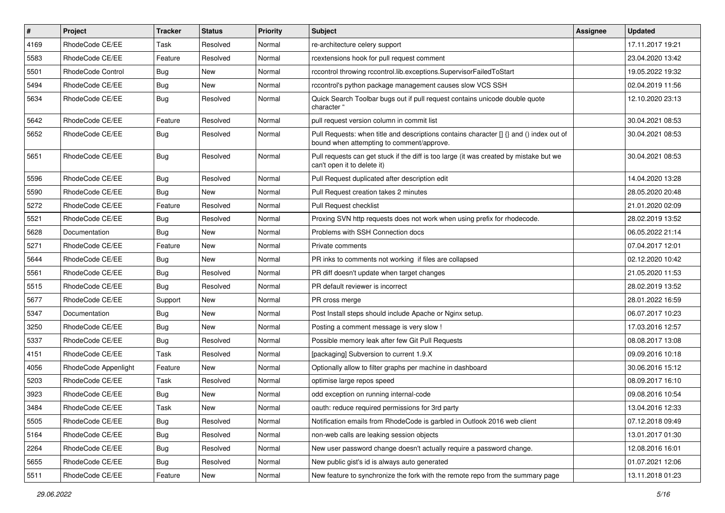| $\pmb{\#}$ | <b>Project</b>       | <b>Tracker</b> | <b>Status</b> | <b>Priority</b> | <b>Subject</b>                                                                                                                       | <b>Assignee</b> | <b>Updated</b>   |
|------------|----------------------|----------------|---------------|-----------------|--------------------------------------------------------------------------------------------------------------------------------------|-----------------|------------------|
| 4169       | RhodeCode CE/EE      | Task           | Resolved      | Normal          | re-architecture celery support                                                                                                       |                 | 17.11.2017 19:21 |
| 5583       | RhodeCode CE/EE      | Feature        | Resolved      | Normal          | rcextensions hook for pull request comment                                                                                           |                 | 23.04.2020 13:42 |
| 5501       | RhodeCode Control    | Bug            | New           | Normal          | rccontrol throwing rccontrol.lib.exceptions.SupervisorFailedToStart                                                                  |                 | 19.05.2022 19:32 |
| 5494       | RhodeCode CE/EE      | <b>Bug</b>     | New           | Normal          | rccontrol's python package management causes slow VCS SSH                                                                            |                 | 02.04.2019 11:56 |
| 5634       | RhodeCode CE/EE      | <b>Bug</b>     | Resolved      | Normal          | Quick Search Toolbar bugs out if pull request contains unicode double quote<br>character "                                           |                 | 12.10.2020 23:13 |
| 5642       | RhodeCode CE/EE      | Feature        | Resolved      | Normal          | pull request version column in commit list                                                                                           |                 | 30.04.2021 08:53 |
| 5652       | RhodeCode CE/EE      | Bug            | Resolved      | Normal          | Pull Requests: when title and descriptions contains character [] {} and () index out of<br>bound when attempting to comment/approve. |                 | 30.04.2021 08:53 |
| 5651       | RhodeCode CE/EE      | Bug            | Resolved      | Normal          | Pull requests can get stuck if the diff is too large (it was created by mistake but we<br>can't open it to delete it)                |                 | 30.04.2021 08:53 |
| 5596       | RhodeCode CE/EE      | Bug            | Resolved      | Normal          | Pull Request duplicated after description edit                                                                                       |                 | 14.04.2020 13:28 |
| 5590       | RhodeCode CE/EE      | Bug            | New           | Normal          | Pull Request creation takes 2 minutes                                                                                                |                 | 28.05.2020 20:48 |
| 5272       | RhodeCode CE/EE      | Feature        | Resolved      | Normal          | Pull Request checklist                                                                                                               |                 | 21.01.2020 02:09 |
| 5521       | RhodeCode CE/EE      | Bug            | Resolved      | Normal          | Proxing SVN http requests does not work when using prefix for rhodecode.                                                             |                 | 28.02.2019 13:52 |
| 5628       | Documentation        | Bug            | New           | Normal          | Problems with SSH Connection docs                                                                                                    |                 | 06.05.2022 21:14 |
| 5271       | RhodeCode CE/EE      | Feature        | New           | Normal          | Private comments                                                                                                                     |                 | 07.04.2017 12:01 |
| 5644       | RhodeCode CE/EE      | Bug            | <b>New</b>    | Normal          | PR inks to comments not working if files are collapsed                                                                               |                 | 02.12.2020 10:42 |
| 5561       | RhodeCode CE/EE      | Bug            | Resolved      | Normal          | PR diff doesn't update when target changes                                                                                           |                 | 21.05.2020 11:53 |
| 5515       | RhodeCode CE/EE      | <b>Bug</b>     | Resolved      | Normal          | PR default reviewer is incorrect                                                                                                     |                 | 28.02.2019 13:52 |
| 5677       | RhodeCode CE/EE      | Support        | New           | Normal          | PR cross merge                                                                                                                       |                 | 28.01.2022 16:59 |
| 5347       | Documentation        | <b>Bug</b>     | New           | Normal          | Post Install steps should include Apache or Nginx setup.                                                                             |                 | 06.07.2017 10:23 |
| 3250       | RhodeCode CE/EE      | <b>Bug</b>     | New           | Normal          | Posting a comment message is very slow !                                                                                             |                 | 17.03.2016 12:57 |
| 5337       | RhodeCode CE/EE      | Bug            | Resolved      | Normal          | Possible memory leak after few Git Pull Requests                                                                                     |                 | 08.08.2017 13:08 |
| 4151       | RhodeCode CE/EE      | Task           | Resolved      | Normal          | [packaging] Subversion to current 1.9.X                                                                                              |                 | 09.09.2016 10:18 |
| 4056       | RhodeCode Appenlight | Feature        | <b>New</b>    | Normal          | Optionally allow to filter graphs per machine in dashboard                                                                           |                 | 30.06.2016 15:12 |
| 5203       | RhodeCode CE/EE      | Task           | Resolved      | Normal          | optimise large repos speed                                                                                                           |                 | 08.09.2017 16:10 |
| 3923       | RhodeCode CE/EE      | Bug            | New           | Normal          | odd exception on running internal-code                                                                                               |                 | 09.08.2016 10:54 |
| 3484       | RhodeCode CE/EE      | Task           | New           | Normal          | oauth: reduce required permissions for 3rd party                                                                                     |                 | 13.04.2016 12:33 |
| 5505       | RhodeCode CE/EE      | Bug            | Resolved      | Normal          | Notification emails from RhodeCode is garbled in Outlook 2016 web client                                                             |                 | 07.12.2018 09:49 |
| 5164       | RhodeCode CE/EE      | <b>Bug</b>     | Resolved      | Normal          | non-web calls are leaking session objects                                                                                            |                 | 13.01.2017 01:30 |
| 2264       | RhodeCode CE/EE      | Bug            | Resolved      | Normal          | New user password change doesn't actually require a password change.                                                                 |                 | 12.08.2016 16:01 |
| 5655       | RhodeCode CE/EE      | Bug            | Resolved      | Normal          | New public gist's id is always auto generated                                                                                        |                 | 01.07.2021 12:06 |
| 5511       | RhodeCode CE/EE      | Feature        | New           | Normal          | New feature to synchronize the fork with the remote repo from the summary page                                                       |                 | 13.11.2018 01:23 |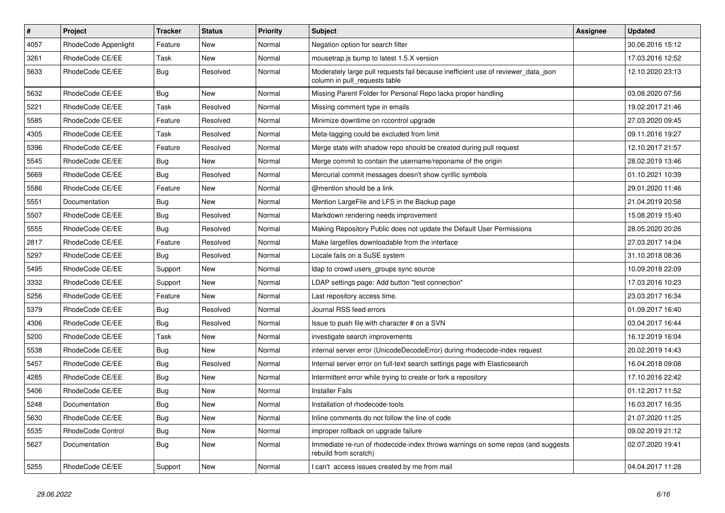| $\vert$ # | Project              | <b>Tracker</b> | <b>Status</b> | <b>Priority</b> | <b>Subject</b>                                                                                                     | <b>Assignee</b> | <b>Updated</b>   |
|-----------|----------------------|----------------|---------------|-----------------|--------------------------------------------------------------------------------------------------------------------|-----------------|------------------|
| 4057      | RhodeCode Appenlight | Feature        | <b>New</b>    | Normal          | Negation option for search filter                                                                                  |                 | 30.06.2016 15:12 |
| 3261      | RhodeCode CE/EE      | Task           | <b>New</b>    | Normal          | mousetrap.js bump to latest 1.5.X version                                                                          |                 | 17.03.2016 12:52 |
| 5633      | RhodeCode CE/EE      | Bug            | Resolved      | Normal          | Moderately large pull requests fail because inefficient use of reviewer_data_json<br>column in pull requests table |                 | 12.10.2020 23:13 |
| 5632      | RhodeCode CE/EE      | Bug            | New           | Normal          | Missing Parent Folder for Personal Repo lacks proper handling                                                      |                 | 03.08.2020 07:56 |
| 5221      | RhodeCode CE/EE      | Task           | Resolved      | Normal          | Missing comment type in emails                                                                                     |                 | 19.02.2017 21:46 |
| 5585      | RhodeCode CE/EE      | Feature        | Resolved      | Normal          | Minimize downtime on rccontrol upgrade                                                                             |                 | 27.03.2020 09:45 |
| 4305      | RhodeCode CE/EE      | Task           | Resolved      | Normal          | Meta-tagging could be excluded from limit                                                                          |                 | 09.11.2016 19:27 |
| 5396      | RhodeCode CE/EE      | Feature        | Resolved      | Normal          | Merge state with shadow repo should be created during pull request                                                 |                 | 12.10.2017 21:57 |
| 5545      | RhodeCode CE/EE      | <b>Bug</b>     | <b>New</b>    | Normal          | Merge commit to contain the username/reponame of the origin                                                        |                 | 28.02.2019 13:46 |
| 5669      | RhodeCode CE/EE      | Bug            | Resolved      | Normal          | Mercurial commit messages doesn't show cyrillic symbols                                                            |                 | 01.10.2021 10:39 |
| 5586      | RhodeCode CE/EE      | Feature        | New           | Normal          | @mention should be a link                                                                                          |                 | 29.01.2020 11:46 |
| 5551      | Documentation        | <b>Bug</b>     | New           | Normal          | Mention LargeFile and LFS in the Backup page                                                                       |                 | 21.04.2019 20:58 |
| 5507      | RhodeCode CE/EE      | <b>Bug</b>     | Resolved      | Normal          | Markdown rendering needs improvement                                                                               |                 | 15.08.2019 15:40 |
| 5555      | RhodeCode CE/EE      | <b>Bug</b>     | Resolved      | Normal          | Making Repository Public does not update the Default User Permissions                                              |                 | 28.05.2020 20:26 |
| 2817      | RhodeCode CE/EE      | Feature        | Resolved      | Normal          | Make largefiles downloadable from the interface                                                                    |                 | 27.03.2017 14:04 |
| 5297      | RhodeCode CE/EE      | Bug            | Resolved      | Normal          | Locale fails on a SuSE system                                                                                      |                 | 31.10.2018 08:36 |
| 5495      | RhodeCode CE/EE      | Support        | <b>New</b>    | Normal          | Idap to crowd users_groups sync source                                                                             |                 | 10.09.2018 22:09 |
| 3332      | RhodeCode CE/EE      | Support        | <b>New</b>    | Normal          | LDAP settings page: Add button "test connection"                                                                   |                 | 17.03.2016 10:23 |
| 5256      | RhodeCode CE/EE      | Feature        | <b>New</b>    | Normal          | Last repository access time.                                                                                       |                 | 23.03.2017 16:34 |
| 5379      | RhodeCode CE/EE      | Bug            | Resolved      | Normal          | Journal RSS feed errors                                                                                            |                 | 01.09.2017 16:40 |
| 4306      | RhodeCode CE/EE      | Bug            | Resolved      | Normal          | Issue to push file with character # on a SVN                                                                       |                 | 03.04.2017 16:44 |
| 5200      | RhodeCode CE/EE      | Task           | New           | Normal          | investigate search improvements                                                                                    |                 | 16.12.2019 16:04 |
| 5538      | RhodeCode CE/EE      | Bug            | <b>New</b>    | Normal          | internal server error (UnicodeDecodeError) during rhodecode-index request                                          |                 | 20.02.2019 14:43 |
| 5457      | RhodeCode CE/EE      | Bug            | Resolved      | Normal          | Internal server error on full-text search settings page with Elasticsearch                                         |                 | 16.04.2018 09:08 |
| 4285      | RhodeCode CE/EE      | Bug            | New           | Normal          | Intermittent error while trying to create or fork a repository                                                     |                 | 17.10.2016 22:42 |
| 5406      | RhodeCode CE/EE      | Bug            | New           | Normal          | <b>Installer Fails</b>                                                                                             |                 | 01.12.2017 11:52 |
| 5248      | Documentation        | Bug            | New           | Normal          | Installation of rhodecode-tools                                                                                    |                 | 16.03.2017 16:35 |
| 5630      | RhodeCode CE/EE      | Bug            | New           | Normal          | Inline comments do not follow the line of code                                                                     |                 | 21.07.2020 11:25 |
| 5535      | RhodeCode Control    | Bug            | New           | Normal          | improper rollback on upgrade failure                                                                               |                 | 09.02.2019 21:12 |
| 5627      | Documentation        | Bug            | New           | Normal          | Immediate re-run of rhodecode-index throws warnings on some repos (and suggests<br>rebuild from scratch)           |                 | 02.07.2020 19:41 |
| 5255      | RhodeCode CE/EE      | Support        | <b>New</b>    | Normal          | I can't access issues created by me from mail                                                                      |                 | 04.04.2017 11:28 |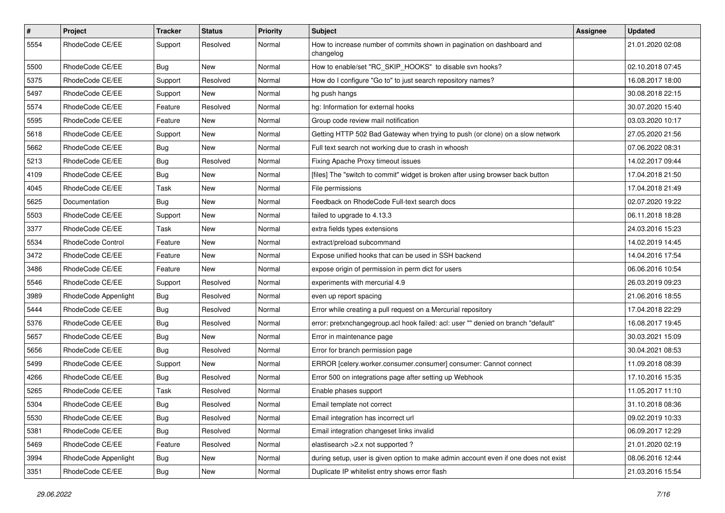| $\vert$ # | Project              | Tracker    | <b>Status</b> | <b>Priority</b> | Subject                                                                             | Assignee | <b>Updated</b>   |
|-----------|----------------------|------------|---------------|-----------------|-------------------------------------------------------------------------------------|----------|------------------|
| 5554      | RhodeCode CE/EE      | Support    | Resolved      | Normal          | How to increase number of commits shown in pagination on dashboard and<br>changelog |          | 21.01.2020 02:08 |
| 5500      | RhodeCode CE/EE      | Bug        | New           | Normal          | How to enable/set "RC_SKIP_HOOKS" to disable svn hooks?                             |          | 02.10.2018 07:45 |
| 5375      | RhodeCode CE/EE      | Support    | Resolved      | Normal          | How do I configure "Go to" to just search repository names?                         |          | 16.08.2017 18:00 |
| 5497      | RhodeCode CE/EE      | Support    | <b>New</b>    | Normal          | hg push hangs                                                                       |          | 30.08.2018 22:15 |
| 5574      | RhodeCode CE/EE      | Feature    | Resolved      | Normal          | hg: Information for external hooks                                                  |          | 30.07.2020 15:40 |
| 5595      | RhodeCode CE/EE      | Feature    | <b>New</b>    | Normal          | Group code review mail notification                                                 |          | 03.03.2020 10:17 |
| 5618      | RhodeCode CE/EE      | Support    | New           | Normal          | Getting HTTP 502 Bad Gateway when trying to push (or clone) on a slow network       |          | 27.05.2020 21:56 |
| 5662      | RhodeCode CE/EE      | <b>Bug</b> | New           | Normal          | Full text search not working due to crash in whoosh                                 |          | 07.06.2022 08:31 |
| 5213      | RhodeCode CE/EE      | Bug        | Resolved      | Normal          | Fixing Apache Proxy timeout issues                                                  |          | 14.02.2017 09:44 |
| 4109      | RhodeCode CE/EE      | <b>Bug</b> | New           | Normal          | [files] The "switch to commit" widget is broken after using browser back button     |          | 17.04.2018 21:50 |
| 4045      | RhodeCode CE/EE      | Task       | New           | Normal          | File permissions                                                                    |          | 17.04.2018 21:49 |
| 5625      | Documentation        | Bug        | New           | Normal          | Feedback on RhodeCode Full-text search docs                                         |          | 02.07.2020 19:22 |
| 5503      | RhodeCode CE/EE      | Support    | New           | Normal          | failed to upgrade to 4.13.3                                                         |          | 06.11.2018 18:28 |
| 3377      | RhodeCode CE/EE      | Task       | New           | Normal          | extra fields types extensions                                                       |          | 24.03.2016 15:23 |
| 5534      | RhodeCode Control    | Feature    | New           | Normal          | extract/preload subcommand                                                          |          | 14.02.2019 14:45 |
| 3472      | RhodeCode CE/EE      | Feature    | New           | Normal          | Expose unified hooks that can be used in SSH backend                                |          | 14.04.2016 17:54 |
| 3486      | RhodeCode CE/EE      | Feature    | <b>New</b>    | Normal          | expose origin of permission in perm dict for users                                  |          | 06.06.2016 10:54 |
| 5546      | RhodeCode CE/EE      | Support    | Resolved      | Normal          | experiments with mercurial 4.9                                                      |          | 26.03.2019 09:23 |
| 3989      | RhodeCode Appenlight | Bug        | Resolved      | Normal          | even up report spacing                                                              |          | 21.06.2016 18:55 |
| 5444      | RhodeCode CE/EE      | Bug        | Resolved      | Normal          | Error while creating a pull request on a Mercurial repository                       |          | 17.04.2018 22:29 |
| 5376      | RhodeCode CE/EE      | <b>Bug</b> | Resolved      | Normal          | error: pretxnchangegroup.acl hook failed: acl: user "" denied on branch "default"   |          | 16.08.2017 19:45 |
| 5657      | RhodeCode CE/EE      | Bug        | <b>New</b>    | Normal          | Error in maintenance page                                                           |          | 30.03.2021 15:09 |
| 5656      | RhodeCode CE/EE      | <b>Bug</b> | Resolved      | Normal          | Error for branch permission page                                                    |          | 30.04.2021 08:53 |
| 5499      | RhodeCode CE/EE      | Support    | New           | Normal          | ERROR [celery.worker.consumer.consumer] consumer: Cannot connect                    |          | 11.09.2018 08:39 |
| 4266      | RhodeCode CE/EE      | Bug        | Resolved      | Normal          | Error 500 on integrations page after setting up Webhook                             |          | 17.10.2016 15:35 |
| 5265      | RhodeCode CE/EE      | Task       | Resolved      | Normal          | Enable phases support                                                               |          | 11.05.2017 11:10 |
| 5304      | RhodeCode CE/EE      | <b>Bug</b> | Resolved      | Normal          | Email template not correct                                                          |          | 31.10.2018 08:36 |
| 5530      | RhodeCode CE/EE      | Bug        | Resolved      | Normal          | Email integration has incorrect url                                                 |          | 09.02.2019 10:33 |
| 5381      | RhodeCode CE/EE      | Bug        | Resolved      | Normal          | Email integration changeset links invalid                                           |          | 06.09.2017 12:29 |
| 5469      | RhodeCode CE/EE      | Feature    | Resolved      | Normal          | elastisearch > 2.x not supported ?                                                  |          | 21.01.2020 02:19 |
| 3994      | RhodeCode Appenlight | <b>Bug</b> | New           | Normal          | during setup, user is given option to make admin account even if one does not exist |          | 08.06.2016 12:44 |
| 3351      | RhodeCode CE/EE      | <b>Bug</b> | New           | Normal          | Duplicate IP whitelist entry shows error flash                                      |          | 21.03.2016 15:54 |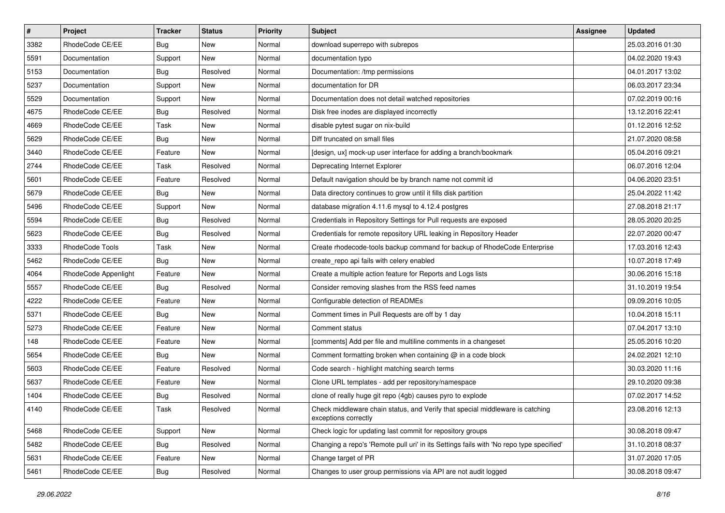| #    | Project              | <b>Tracker</b> | <b>Status</b> | Priority | <b>Subject</b>                                                                                        | Assignee | <b>Updated</b>   |
|------|----------------------|----------------|---------------|----------|-------------------------------------------------------------------------------------------------------|----------|------------------|
| 3382 | RhodeCode CE/EE      | Bug            | New           | Normal   | download superrepo with subrepos                                                                      |          | 25.03.2016 01:30 |
| 5591 | Documentation        | Support        | <b>New</b>    | Normal   | documentation typo                                                                                    |          | 04.02.2020 19:43 |
| 5153 | Documentation        | <b>Bug</b>     | Resolved      | Normal   | Documentation: /tmp permissions                                                                       |          | 04.01.2017 13:02 |
| 5237 | Documentation        | Support        | New           | Normal   | documentation for DR                                                                                  |          | 06.03.2017 23:34 |
| 5529 | Documentation        | Support        | New           | Normal   | Documentation does not detail watched repositories                                                    |          | 07.02.2019 00:16 |
| 4675 | RhodeCode CE/EE      | Bug            | Resolved      | Normal   | Disk free inodes are displayed incorrectly                                                            |          | 13.12.2016 22:41 |
| 4669 | RhodeCode CE/EE      | Task           | New           | Normal   | disable pytest sugar on nix-build                                                                     |          | 01.12.2016 12:52 |
| 5629 | RhodeCode CE/EE      | <b>Bug</b>     | New           | Normal   | Diff truncated on small files                                                                         |          | 21.07.2020 08:58 |
| 3440 | RhodeCode CE/EE      | Feature        | New           | Normal   | [design, ux] mock-up user interface for adding a branch/bookmark                                      |          | 05.04.2016 09:21 |
| 2744 | RhodeCode CE/EE      | Task           | Resolved      | Normal   | Deprecating Internet Explorer                                                                         |          | 06.07.2016 12:04 |
| 5601 | RhodeCode CE/EE      | Feature        | Resolved      | Normal   | Default navigation should be by branch name not commit id                                             |          | 04.06.2020 23:51 |
| 5679 | RhodeCode CE/EE      | Bug            | <b>New</b>    | Normal   | Data directory continues to grow until it fills disk partition                                        |          | 25.04.2022 11:42 |
| 5496 | RhodeCode CE/EE      | Support        | New           | Normal   | database migration 4.11.6 mysql to 4.12.4 postgres                                                    |          | 27.08.2018 21:17 |
| 5594 | RhodeCode CE/EE      | Bug            | Resolved      | Normal   | Credentials in Repository Settings for Pull requests are exposed                                      |          | 28.05.2020 20:25 |
| 5623 | RhodeCode CE/EE      | Bug            | Resolved      | Normal   | Credentials for remote repository URL leaking in Repository Header                                    |          | 22.07.2020 00:47 |
| 3333 | RhodeCode Tools      | Task           | New           | Normal   | Create rhodecode-tools backup command for backup of RhodeCode Enterprise                              |          | 17.03.2016 12:43 |
| 5462 | RhodeCode CE/EE      | Bug            | New           | Normal   | create repo api fails with celery enabled                                                             |          | 10.07.2018 17:49 |
| 4064 | RhodeCode Appenlight | Feature        | <b>New</b>    | Normal   | Create a multiple action feature for Reports and Logs lists                                           |          | 30.06.2016 15:18 |
| 5557 | RhodeCode CE/EE      | Bug            | Resolved      | Normal   | Consider removing slashes from the RSS feed names                                                     |          | 31.10.2019 19:54 |
| 4222 | RhodeCode CE/EE      | Feature        | New           | Normal   | Configurable detection of READMEs                                                                     |          | 09.09.2016 10:05 |
| 5371 | RhodeCode CE/EE      | <b>Bug</b>     | New           | Normal   | Comment times in Pull Requests are off by 1 day                                                       |          | 10.04.2018 15:11 |
| 5273 | RhodeCode CE/EE      | Feature        | <b>New</b>    | Normal   | Comment status                                                                                        |          | 07.04.2017 13:10 |
| 148  | RhodeCode CE/EE      | Feature        | <b>New</b>    | Normal   | [comments] Add per file and multiline comments in a changeset                                         |          | 25.05.2016 10:20 |
| 5654 | RhodeCode CE/EE      | Bug            | New           | Normal   | Comment formatting broken when containing @ in a code block                                           |          | 24.02.2021 12:10 |
| 5603 | RhodeCode CE/EE      | Feature        | Resolved      | Normal   | Code search - highlight matching search terms                                                         |          | 30.03.2020 11:16 |
| 5637 | RhodeCode CE/EE      | Feature        | New           | Normal   | Clone URL templates - add per repository/namespace                                                    |          | 29.10.2020 09:38 |
| 1404 | RhodeCode CE/EE      | Bug            | Resolved      | Normal   | clone of really huge git repo (4gb) causes pyro to explode                                            |          | 07.02.2017 14:52 |
| 4140 | RhodeCode CE/EE      | Task           | Resolved      | Normal   | Check middleware chain status, and Verify that special middleware is catching<br>exceptions correctly |          | 23.08.2016 12:13 |
| 5468 | RhodeCode CE/EE      | Support        | New           | Normal   | Check logic for updating last commit for repository groups                                            |          | 30.08.2018 09:47 |
| 5482 | RhodeCode CE/EE      | <b>Bug</b>     | Resolved      | Normal   | Changing a repo's 'Remote pull uri' in its Settings fails with 'No repo type specified'               |          | 31.10.2018 08:37 |
| 5631 | RhodeCode CE/EE      | Feature        | New           | Normal   | Change target of PR                                                                                   |          | 31.07.2020 17:05 |
| 5461 | RhodeCode CE/EE      | <b>Bug</b>     | Resolved      | Normal   | Changes to user group permissions via API are not audit logged                                        |          | 30.08.2018 09:47 |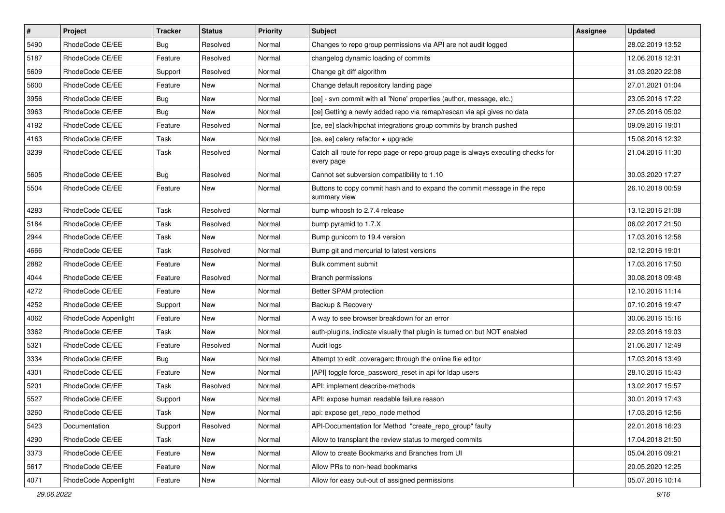| $\vert$ # | Project              | <b>Tracker</b> | <b>Status</b> | <b>Priority</b> | <b>Subject</b>                                                                                | <b>Assignee</b> | <b>Updated</b>   |
|-----------|----------------------|----------------|---------------|-----------------|-----------------------------------------------------------------------------------------------|-----------------|------------------|
| 5490      | RhodeCode CE/EE      | <b>Bug</b>     | Resolved      | Normal          | Changes to repo group permissions via API are not audit logged                                |                 | 28.02.2019 13:52 |
| 5187      | RhodeCode CE/EE      | Feature        | Resolved      | Normal          | changelog dynamic loading of commits                                                          |                 | 12.06.2018 12:31 |
| 5609      | RhodeCode CE/EE      | Support        | Resolved      | Normal          | Change git diff algorithm                                                                     |                 | 31.03.2020 22:08 |
| 5600      | RhodeCode CE/EE      | Feature        | New           | Normal          | Change default repository landing page                                                        |                 | 27.01.2021 01:04 |
| 3956      | RhodeCode CE/EE      | Bug            | New           | Normal          | [ce] - svn commit with all 'None' properties (author, message, etc.)                          |                 | 23.05.2016 17:22 |
| 3963      | RhodeCode CE/EE      | <b>Bug</b>     | New           | Normal          | [ce] Getting a newly added repo via remap/rescan via api gives no data                        |                 | 27.05.2016 05:02 |
| 4192      | RhodeCode CE/EE      | Feature        | Resolved      | Normal          | [ce, ee] slack/hipchat integrations group commits by branch pushed                            |                 | 09.09.2016 19:01 |
| 4163      | RhodeCode CE/EE      | Task           | New           | Normal          | [ce, ee] celery refactor + upgrade                                                            |                 | 15.08.2016 12:32 |
| 3239      | RhodeCode CE/EE      | Task           | Resolved      | Normal          | Catch all route for repo page or repo group page is always executing checks for<br>every page |                 | 21.04.2016 11:30 |
| 5605      | RhodeCode CE/EE      | Bug            | Resolved      | Normal          | Cannot set subversion compatibility to 1.10                                                   |                 | 30.03.2020 17:27 |
| 5504      | RhodeCode CE/EE      | Feature        | New           | Normal          | Buttons to copy commit hash and to expand the commit message in the repo<br>summary view      |                 | 26.10.2018 00:59 |
| 4283      | RhodeCode CE/EE      | Task           | Resolved      | Normal          | bump whoosh to 2.7.4 release                                                                  |                 | 13.12.2016 21:08 |
| 5184      | RhodeCode CE/EE      | Task           | Resolved      | Normal          | bump pyramid to 1.7.X                                                                         |                 | 06.02.2017 21:50 |
| 2944      | RhodeCode CE/EE      | Task           | <b>New</b>    | Normal          | Bump gunicorn to 19.4 version                                                                 |                 | 17.03.2016 12:58 |
| 4666      | RhodeCode CE/EE      | Task           | Resolved      | Normal          | Bump git and mercurial to latest versions                                                     |                 | 02.12.2016 19:01 |
| 2882      | RhodeCode CE/EE      | Feature        | New           | Normal          | Bulk comment submit                                                                           |                 | 17.03.2016 17:50 |
| 4044      | RhodeCode CE/EE      | Feature        | Resolved      | Normal          | <b>Branch permissions</b>                                                                     |                 | 30.08.2018 09:48 |
| 4272      | RhodeCode CE/EE      | Feature        | New           | Normal          | Better SPAM protection                                                                        |                 | 12.10.2016 11:14 |
| 4252      | RhodeCode CE/EE      | Support        | New           | Normal          | Backup & Recovery                                                                             |                 | 07.10.2016 19:47 |
| 4062      | RhodeCode Appenlight | Feature        | New           | Normal          | A way to see browser breakdown for an error                                                   |                 | 30.06.2016 15:16 |
| 3362      | RhodeCode CE/EE      | Task           | New           | Normal          | auth-plugins, indicate visually that plugin is turned on but NOT enabled                      |                 | 22.03.2016 19:03 |
| 5321      | RhodeCode CE/EE      | Feature        | Resolved      | Normal          | Audit logs                                                                                    |                 | 21.06.2017 12:49 |
| 3334      | RhodeCode CE/EE      | Bug            | New           | Normal          | Attempt to edit .coveragerc through the online file editor                                    |                 | 17.03.2016 13:49 |
| 4301      | RhodeCode CE/EE      | Feature        | New           | Normal          | [API] toggle force_password_reset in api for Idap users                                       |                 | 28.10.2016 15:43 |
| 5201      | RhodeCode CE/EE      | Task           | Resolved      | Normal          | API: implement describe-methods                                                               |                 | 13.02.2017 15:57 |
| 5527      | RhodeCode CE/EE      | Support        | New           | Normal          | API: expose human readable failure reason                                                     |                 | 30.01.2019 17:43 |
| 3260      | RhodeCode CE/EE      | Task           | New           | Normal          | api: expose get_repo_node method                                                              |                 | 17.03.2016 12:56 |
| 5423      | Documentation        | Support        | Resolved      | Normal          | API-Documentation for Method "create_repo_group" faulty                                       |                 | 22.01.2018 16:23 |
| 4290      | RhodeCode CE/EE      | Task           | New           | Normal          | Allow to transplant the review status to merged commits                                       |                 | 17.04.2018 21:50 |
| 3373      | RhodeCode CE/EE      | Feature        | New           | Normal          | Allow to create Bookmarks and Branches from UI                                                |                 | 05.04.2016 09:21 |
| 5617      | RhodeCode CE/EE      | Feature        | New           | Normal          | Allow PRs to non-head bookmarks                                                               |                 | 20.05.2020 12:25 |
| 4071      | RhodeCode Appenlight | Feature        | New           | Normal          | Allow for easy out-out of assigned permissions                                                |                 | 05.07.2016 10:14 |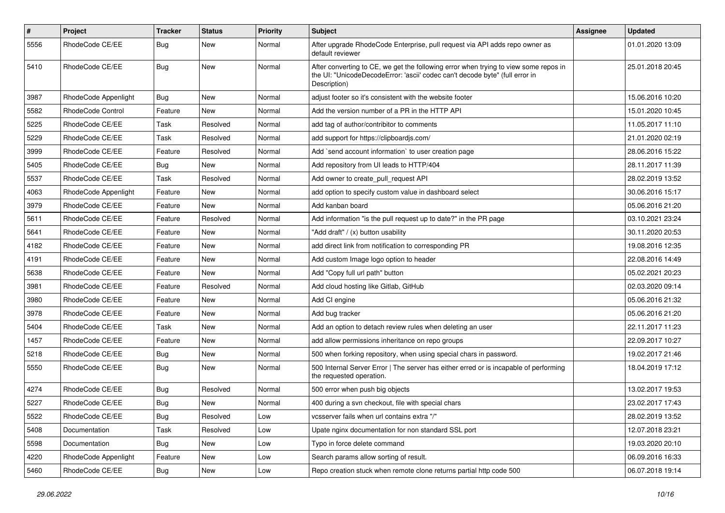| $\pmb{\#}$ | Project              | <b>Tracker</b> | <b>Status</b> | <b>Priority</b> | Subject                                                                                                                                                                              | <b>Assignee</b> | <b>Updated</b>   |
|------------|----------------------|----------------|---------------|-----------------|--------------------------------------------------------------------------------------------------------------------------------------------------------------------------------------|-----------------|------------------|
| 5556       | RhodeCode CE/EE      | <b>Bug</b>     | New           | Normal          | After upgrade RhodeCode Enterprise, pull request via API adds repo owner as<br>default reviewer                                                                                      |                 | 01.01.2020 13:09 |
| 5410       | RhodeCode CE/EE      | Bug            | New           | Normal          | After converting to CE, we get the following error when trying to view some repos in<br>the UI: "UnicodeDecodeError: 'ascii' codec can't decode byte" (full error in<br>Description) |                 | 25.01.2018 20:45 |
| 3987       | RhodeCode Appenlight | Bug            | <b>New</b>    | Normal          | adjust footer so it's consistent with the website footer                                                                                                                             |                 | 15.06.2016 10:20 |
| 5582       | RhodeCode Control    | Feature        | <b>New</b>    | Normal          | Add the version number of a PR in the HTTP API                                                                                                                                       |                 | 15.01.2020 10:45 |
| 5225       | RhodeCode CE/EE      | Task           | Resolved      | Normal          | add tag of author/contribitor to comments                                                                                                                                            |                 | 11.05.2017 11:10 |
| 5229       | RhodeCode CE/EE      | Task           | Resolved      | Normal          | add support for https://clipboardjs.com/                                                                                                                                             |                 | 21.01.2020 02:19 |
| 3999       | RhodeCode CE/EE      | Feature        | Resolved      | Normal          | Add `send account information` to user creation page                                                                                                                                 |                 | 28.06.2016 15:22 |
| 5405       | RhodeCode CE/EE      | Bug            | New           | Normal          | Add repository from UI leads to HTTP/404                                                                                                                                             |                 | 28.11.2017 11:39 |
| 5537       | RhodeCode CE/EE      | Task           | Resolved      | Normal          | Add owner to create pull request API                                                                                                                                                 |                 | 28.02.2019 13:52 |
| 4063       | RhodeCode Appenlight | Feature        | <b>New</b>    | Normal          | add option to specify custom value in dashboard select                                                                                                                               |                 | 30.06.2016 15:17 |
| 3979       | RhodeCode CE/EE      | Feature        | <b>New</b>    | Normal          | Add kanban board                                                                                                                                                                     |                 | 05.06.2016 21:20 |
| 5611       | RhodeCode CE/EE      | Feature        | Resolved      | Normal          | Add information "is the pull request up to date?" in the PR page                                                                                                                     |                 | 03.10.2021 23:24 |
| 5641       | RhodeCode CE/EE      | Feature        | New           | Normal          | "Add draft" / (x) button usability                                                                                                                                                   |                 | 30.11.2020 20:53 |
| 4182       | RhodeCode CE/EE      | Feature        | New           | Normal          | add direct link from notification to corresponding PR                                                                                                                                |                 | 19.08.2016 12:35 |
| 4191       | RhodeCode CE/EE      | Feature        | <b>New</b>    | Normal          | Add custom Image logo option to header                                                                                                                                               |                 | 22.08.2016 14:49 |
| 5638       | RhodeCode CE/EE      | Feature        | New           | Normal          | Add "Copy full url path" button                                                                                                                                                      |                 | 05.02.2021 20:23 |
| 3981       | RhodeCode CE/EE      | Feature        | Resolved      | Normal          | Add cloud hosting like Gitlab, GitHub                                                                                                                                                |                 | 02.03.2020 09:14 |
| 3980       | RhodeCode CE/EE      | Feature        | New           | Normal          | Add CI engine                                                                                                                                                                        |                 | 05.06.2016 21:32 |
| 3978       | RhodeCode CE/EE      | Feature        | New           | Normal          | Add bug tracker                                                                                                                                                                      |                 | 05.06.2016 21:20 |
| 5404       | RhodeCode CE/EE      | Task           | <b>New</b>    | Normal          | Add an option to detach review rules when deleting an user                                                                                                                           |                 | 22.11.2017 11:23 |
| 1457       | RhodeCode CE/EE      | Feature        | New           | Normal          | add allow permissions inheritance on repo groups                                                                                                                                     |                 | 22.09.2017 10:27 |
| 5218       | RhodeCode CE/EE      | Bug            | New           | Normal          | 500 when forking repository, when using special chars in password.                                                                                                                   |                 | 19.02.2017 21:46 |
| 5550       | RhodeCode CE/EE      | Bug            | New           | Normal          | 500 Internal Server Error   The server has either erred or is incapable of performing<br>the requested operation.                                                                    |                 | 18.04.2019 17:12 |
| 4274       | RhodeCode CE/EE      | Bug            | Resolved      | Normal          | 500 error when push big objects                                                                                                                                                      |                 | 13.02.2017 19:53 |
| 5227       | RhodeCode CE/EE      | Bug            | New           | Normal          | 400 during a svn checkout, file with special chars                                                                                                                                   |                 | 23.02.2017 17:43 |
| 5522       | RhodeCode CE/EE      | <b>Bug</b>     | Resolved      | Low             | vcsserver fails when url contains extra "/"                                                                                                                                          |                 | 28.02.2019 13:52 |
| 5408       | Documentation        | Task           | Resolved      | Low             | Upate nginx documentation for non standard SSL port                                                                                                                                  |                 | 12.07.2018 23:21 |
| 5598       | Documentation        | Bug            | New           | Low             | Typo in force delete command                                                                                                                                                         |                 | 19.03.2020 20:10 |
| 4220       | RhodeCode Appenlight | Feature        | New           | Low             | Search params allow sorting of result.                                                                                                                                               |                 | 06.09.2016 16:33 |
| 5460       | RhodeCode CE/EE      | <b>Bug</b>     | New           | Low             | Repo creation stuck when remote clone returns partial http code 500                                                                                                                  |                 | 06.07.2018 19:14 |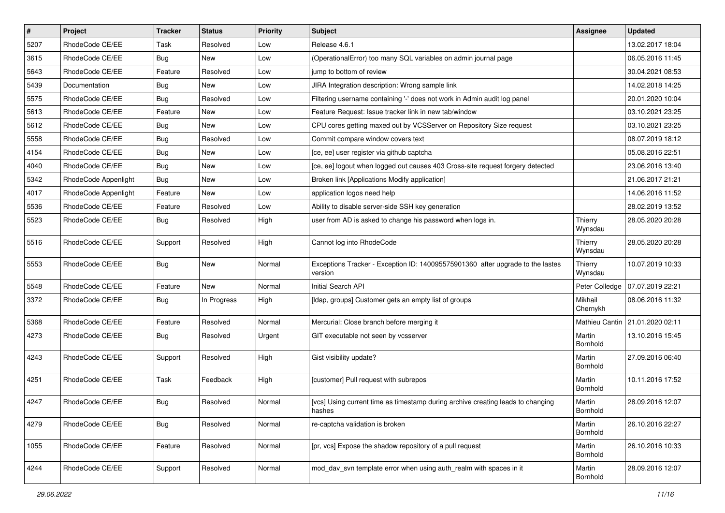| $\pmb{\#}$ | Project              | <b>Tracker</b> | <b>Status</b> | <b>Priority</b> | <b>Subject</b>                                                                            | <b>Assignee</b>     | <b>Updated</b>                    |
|------------|----------------------|----------------|---------------|-----------------|-------------------------------------------------------------------------------------------|---------------------|-----------------------------------|
| 5207       | RhodeCode CE/EE      | Task           | Resolved      | Low             | Release 4.6.1                                                                             |                     | 13.02.2017 18:04                  |
| 3615       | RhodeCode CE/EE      | Bug            | <b>New</b>    | Low             | (OperationalError) too many SQL variables on admin journal page                           |                     | 06.05.2016 11:45                  |
| 5643       | RhodeCode CE/EE      | Feature        | Resolved      | Low             | jump to bottom of review                                                                  |                     | 30.04.2021 08:53                  |
| 5439       | Documentation        | <b>Bug</b>     | New           | Low             | JIRA Integration description: Wrong sample link                                           |                     | 14.02.2018 14:25                  |
| 5575       | RhodeCode CE/EE      | Bug            | Resolved      | Low             | Filtering username containing '-' does not work in Admin audit log panel                  |                     | 20.01.2020 10:04                  |
| 5613       | RhodeCode CE/EE      | Feature        | New           | Low             | Feature Request: Issue tracker link in new tab/window                                     |                     | 03.10.2021 23:25                  |
| 5612       | RhodeCode CE/EE      | Bug            | New           | Low             | CPU cores getting maxed out by VCSServer on Repository Size request                       |                     | 03.10.2021 23:25                  |
| 5558       | RhodeCode CE/EE      | Bug            | Resolved      | Low             | Commit compare window covers text                                                         |                     | 08.07.2019 18:12                  |
| 4154       | RhodeCode CE/EE      | <b>Bug</b>     | New           | Low             | [ce, ee] user register via github captcha                                                 |                     | 05.08.2016 22:51                  |
| 4040       | RhodeCode CE/EE      | Bug            | <b>New</b>    | Low             | [ce, ee] logout when logged out causes 403 Cross-site request forgery detected            |                     | 23.06.2016 13:40                  |
| 5342       | RhodeCode Appenlight | Bug            | New           | Low             | Broken link [Applications Modify application]                                             |                     | 21.06.2017 21:21                  |
| 4017       | RhodeCode Appenlight | Feature        | New           | Low             | application logos need help                                                               |                     | 14.06.2016 11:52                  |
| 5536       | RhodeCode CE/EE      | Feature        | Resolved      | Low             | Ability to disable server-side SSH key generation                                         |                     | 28.02.2019 13:52                  |
| 5523       | RhodeCode CE/EE      | Bug            | Resolved      | High            | user from AD is asked to change his password when logs in.                                | Thierry<br>Wynsdau  | 28.05.2020 20:28                  |
| 5516       | RhodeCode CE/EE      | Support        | Resolved      | High            | Cannot log into RhodeCode                                                                 | Thierry<br>Wynsdau  | 28.05.2020 20:28                  |
| 5553       | RhodeCode CE/EE      | Bug            | <b>New</b>    | Normal          | Exceptions Tracker - Exception ID: 140095575901360 after upgrade to the lastes<br>version | Thierry<br>Wynsdau  | 10.07.2019 10:33                  |
| 5548       | RhodeCode CE/EE      | Feature        | <b>New</b>    | Normal          | Initial Search API                                                                        | Peter Colledge      | 07.07.2019 22:21                  |
| 3372       | RhodeCode CE/EE      | Bug            | In Progress   | High            | [Idap, groups] Customer gets an empty list of groups                                      | Mikhail<br>Chernykh | 08.06.2016 11:32                  |
| 5368       | RhodeCode CE/EE      | Feature        | Resolved      | Normal          | Mercurial: Close branch before merging it                                                 |                     | Mathieu Cantin   21.01.2020 02:11 |
| 4273       | RhodeCode CE/EE      | Bug            | Resolved      | Urgent          | GIT executable not seen by vcsserver                                                      | Martin<br>Bornhold  | 13.10.2016 15:45                  |
| 4243       | RhodeCode CE/EE      | Support        | Resolved      | High            | Gist visibility update?                                                                   | Martin<br>Bornhold  | 27.09.2016 06:40                  |
| 4251       | RhodeCode CE/EE      | Task           | Feedback      | High            | [customer] Pull request with subrepos                                                     | Martin<br>Bornhold  | 10.11.2016 17:52                  |
| 4247       | RhodeCode CE/EE      | Bug            | Resolved      | Normal          | [vcs] Using current time as timestamp during archive creating leads to changing<br>nasnes | Martin<br>Bornhold  | 28.09.2016 12:07                  |
| 4279       | RhodeCode CE/EE      | Bug            | Resolved      | Normal          | re-captcha validation is broken                                                           | Martin<br>Bornhold  | 26.10.2016 22:27                  |
| 1055       | RhodeCode CE/EE      | Feature        | Resolved      | Normal          | [pr, vcs] Expose the shadow repository of a pull request                                  | Martin<br>Bornhold  | 26.10.2016 10:33                  |
| 4244       | RhodeCode CE/EE      | Support        | Resolved      | Normal          | mod_dav_svn template error when using auth_realm with spaces in it                        | Martin<br>Bornhold  | 28.09.2016 12:07                  |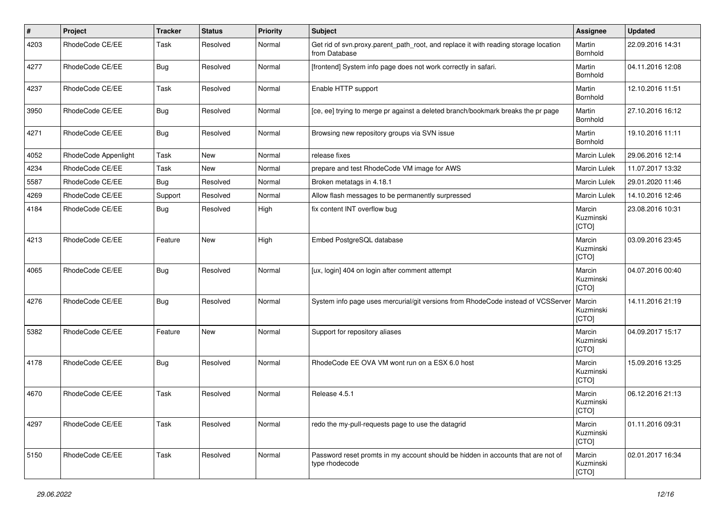| #    | Project              | <b>Tracker</b> | <b>Status</b> | <b>Priority</b> | <b>Subject</b>                                                                                       | <b>Assignee</b>              | <b>Updated</b>   |
|------|----------------------|----------------|---------------|-----------------|------------------------------------------------------------------------------------------------------|------------------------------|------------------|
| 4203 | RhodeCode CE/EE      | Task           | Resolved      | Normal          | Get rid of svn.proxy.parent_path_root, and replace it with reading storage location<br>from Database | Martin<br>Bornhold           | 22.09.2016 14:31 |
| 4277 | RhodeCode CE/EE      | Bug            | Resolved      | Normal          | [frontend] System info page does not work correctly in safari.                                       | Martin<br>Bornhold           | 04.11.2016 12:08 |
| 4237 | RhodeCode CE/EE      | Task           | Resolved      | Normal          | Enable HTTP support                                                                                  | Martin<br>Bornhold           | 12.10.2016 11:51 |
| 3950 | RhodeCode CE/EE      | Bug            | Resolved      | Normal          | [ce, ee] trying to merge pr against a deleted branch/bookmark breaks the pr page                     | Martin<br>Bornhold           | 27.10.2016 16:12 |
| 4271 | RhodeCode CE/EE      | Bug            | Resolved      | Normal          | Browsing new repository groups via SVN issue                                                         | Martin<br>Bornhold           | 19.10.2016 11:11 |
| 4052 | RhodeCode Appenlight | Task           | New           | Normal          | release fixes                                                                                        | Marcin Lulek                 | 29.06.2016 12:14 |
| 4234 | RhodeCode CE/EE      | Task           | New           | Normal          | prepare and test RhodeCode VM image for AWS                                                          | Marcin Lulek                 | 11.07.2017 13:32 |
| 5587 | RhodeCode CE/EE      | Bug            | Resolved      | Normal          | Broken metatags in 4.18.1                                                                            | Marcin Lulek                 | 29.01.2020 11:46 |
| 4269 | RhodeCode CE/EE      | Support        | Resolved      | Normal          | Allow flash messages to be permanently surpressed                                                    | Marcin Lulek                 | 14.10.2016 12:46 |
| 4184 | RhodeCode CE/EE      | Bug            | Resolved      | High            | fix content INT overflow bug                                                                         | Marcin<br>Kuzminski<br>[CTO] | 23.08.2016 10:31 |
| 4213 | RhodeCode CE/EE      | Feature        | <b>New</b>    | High            | Embed PostgreSQL database                                                                            | Marcin<br>Kuzminski<br>[CTO] | 03.09.2016 23:45 |
| 4065 | RhodeCode CE/EE      | Bug            | Resolved      | Normal          | [ux, login] 404 on login after comment attempt                                                       | Marcin<br>Kuzminski<br>[CTO] | 04.07.2016 00:40 |
| 4276 | RhodeCode CE/EE      | Bug            | Resolved      | Normal          | System info page uses mercurial/git versions from RhodeCode instead of VCSServer                     | Marcin<br>Kuzminski<br>[CTO] | 14.11.2016 21:19 |
| 5382 | RhodeCode CE/EE      | Feature        | <b>New</b>    | Normal          | Support for repository aliases                                                                       | Marcin<br>Kuzminski<br>[CTO] | 04.09.2017 15:17 |
| 4178 | RhodeCode CE/EE      | Bug            | Resolved      | Normal          | RhodeCode EE OVA VM wont run on a ESX 6.0 host                                                       | Marcin<br>Kuzminski<br>[CTO] | 15.09.2016 13:25 |
| 4670 | RhodeCode CE/EE      | Task           | Resolved      | Normal          | Release 4.5.1                                                                                        | Marcin<br>Kuzminski<br>[CTO] | 06.12.2016 21:13 |
| 4297 | RhodeCode CE/EE      | Task           | Resolved      | Normal          | redo the my-pull-requests page to use the datagrid                                                   | Marcin<br>Kuzminski<br>[CTO] | 01.11.2016 09:31 |
| 5150 | RhodeCode CE/EE      | Task           | Resolved      | Normal          | Password reset promts in my account should be hidden in accounts that are not of<br>type rhodecode   | Marcin<br>Kuzminski<br>[CTO] | 02.01.2017 16:34 |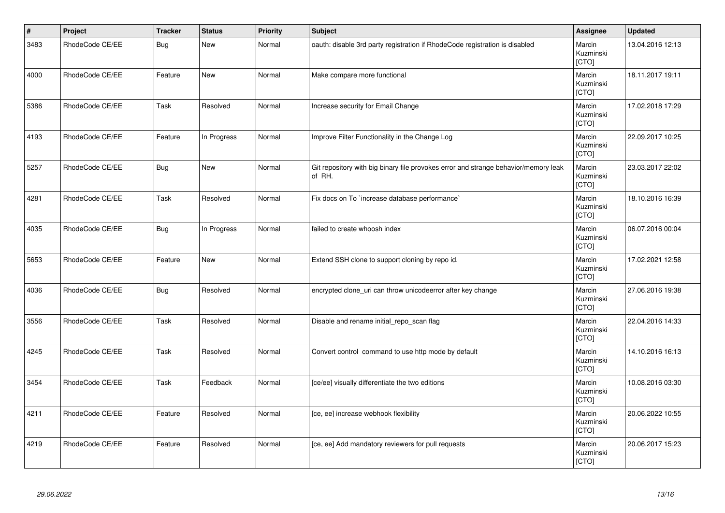| $\vert$ # | Project         | <b>Tracker</b> | <b>Status</b> | <b>Priority</b> | Subject                                                                                       | Assignee                     | <b>Updated</b>   |
|-----------|-----------------|----------------|---------------|-----------------|-----------------------------------------------------------------------------------------------|------------------------------|------------------|
| 3483      | RhodeCode CE/EE | <b>Bug</b>     | <b>New</b>    | Normal          | oauth: disable 3rd party registration if RhodeCode registration is disabled                   | Marcin<br>Kuzminski<br>[CTO] | 13.04.2016 12:13 |
| 4000      | RhodeCode CE/EE | Feature        | New           | Normal          | Make compare more functional                                                                  | Marcin<br>Kuzminski<br>[CTO] | 18.11.2017 19:11 |
| 5386      | RhodeCode CE/EE | Task           | Resolved      | Normal          | Increase security for Email Change                                                            | Marcin<br>Kuzminski<br>[CTO] | 17.02.2018 17:29 |
| 4193      | RhodeCode CE/EE | Feature        | In Progress   | Normal          | Improve Filter Functionality in the Change Log                                                | Marcin<br>Kuzminski<br>[CTO] | 22.09.2017 10:25 |
| 5257      | RhodeCode CE/EE | <b>Bug</b>     | New           | Normal          | Git repository with big binary file provokes error and strange behavior/memory leak<br>of RH. | Marcin<br>Kuzminski<br>[CTO] | 23.03.2017 22:02 |
| 4281      | RhodeCode CE/EE | Task           | Resolved      | Normal          | Fix docs on To `increase database performance`                                                | Marcin<br>Kuzminski<br>[CTO] | 18.10.2016 16:39 |
| 4035      | RhodeCode CE/EE | <b>Bug</b>     | In Progress   | Normal          | failed to create whoosh index                                                                 | Marcin<br>Kuzminski<br>[CTO] | 06.07.2016 00:04 |
| 5653      | RhodeCode CE/EE | Feature        | <b>New</b>    | Normal          | Extend SSH clone to support cloning by repo id.                                               | Marcin<br>Kuzminski<br>[CTO] | 17.02.2021 12:58 |
| 4036      | RhodeCode CE/EE | <b>Bug</b>     | Resolved      | Normal          | encrypted clone_uri can throw unicodeerror after key change                                   | Marcin<br>Kuzminski<br>[CTO] | 27.06.2016 19:38 |
| 3556      | RhodeCode CE/EE | Task           | Resolved      | Normal          | Disable and rename initial_repo_scan flag                                                     | Marcin<br>Kuzminski<br>[CTO] | 22.04.2016 14:33 |
| 4245      | RhodeCode CE/EE | Task           | Resolved      | Normal          | Convert control command to use http mode by default                                           | Marcin<br>Kuzminski<br>[CTO] | 14.10.2016 16:13 |
| 3454      | RhodeCode CE/EE | Task           | Feedback      | Normal          | [ce/ee] visually differentiate the two editions                                               | Marcin<br>Kuzminski<br>[CTO] | 10.08.2016 03:30 |
| 4211      | RhodeCode CE/EE | Feature        | Resolved      | Normal          | [ce, ee] increase webhook flexibility                                                         | Marcin<br>Kuzminski<br>[CTO] | 20.06.2022 10:55 |
| 4219      | RhodeCode CE/EE | Feature        | Resolved      | Normal          | [ce, ee] Add mandatory reviewers for pull requests                                            | Marcin<br>Kuzminski<br>[CTO] | 20.06.2017 15:23 |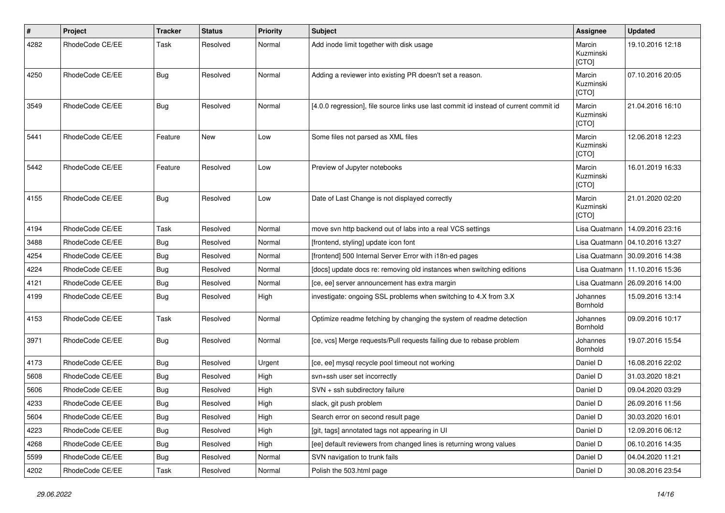| $\sharp$ | Project         | <b>Tracker</b> | <b>Status</b> | <b>Priority</b> | <b>Subject</b>                                                                        | <b>Assignee</b>              | <b>Updated</b>                   |
|----------|-----------------|----------------|---------------|-----------------|---------------------------------------------------------------------------------------|------------------------------|----------------------------------|
| 4282     | RhodeCode CE/EE | Task           | Resolved      | Normal          | Add inode limit together with disk usage                                              | Marcin<br>Kuzminski<br>[CTO] | 19.10.2016 12:18                 |
| 4250     | RhodeCode CE/EE | Bug            | Resolved      | Normal          | Adding a reviewer into existing PR doesn't set a reason.                              | Marcin<br>Kuzminski<br>[CTO] | 07.10.2016 20:05                 |
| 3549     | RhodeCode CE/EE | Bug            | Resolved      | Normal          | [4.0.0 regression], file source links use last commit id instead of current commit id | Marcin<br>Kuzminski<br>[CTO] | 21.04.2016 16:10                 |
| 5441     | RhodeCode CE/EE | Feature        | <b>New</b>    | Low             | Some files not parsed as XML files                                                    | Marcin<br>Kuzminski<br>[CTO] | 12.06.2018 12:23                 |
| 5442     | RhodeCode CE/EE | Feature        | Resolved      | Low             | Preview of Jupyter notebooks                                                          | Marcin<br>Kuzminski<br>[CTO] | 16.01.2019 16:33                 |
| 4155     | RhodeCode CE/EE | Bug            | Resolved      | Low             | Date of Last Change is not displayed correctly                                        | Marcin<br>Kuzminski<br>[CTO] | 21.01.2020 02:20                 |
| 4194     | RhodeCode CE/EE | Task           | Resolved      | Normal          | move svn http backend out of labs into a real VCS settings                            | Lisa Quatmann                | 14.09.2016 23:16                 |
| 3488     | RhodeCode CE/EE | Bug            | Resolved      | Normal          | [frontend, styling] update icon font                                                  |                              | Lisa Quatmann   04.10.2016 13:27 |
| 4254     | RhodeCode CE/EE | Bug            | Resolved      | Normal          | [frontend] 500 Internal Server Error with i18n-ed pages                               |                              | Lisa Quatmann 30.09.2016 14:38   |
| 4224     | RhodeCode CE/EE | Bug            | Resolved      | Normal          | [docs] update docs re: removing old instances when switching editions                 | Lisa Quatmann                | 11.10.2016 15:36                 |
| 4121     | RhodeCode CE/EE | Bug            | Resolved      | Normal          | [ce, ee] server announcement has extra margin                                         | Lisa Quatmann                | 26.09.2016 14:00                 |
| 4199     | RhodeCode CE/EE | Bug            | Resolved      | High            | investigate: ongoing SSL problems when switching to 4.X from 3.X                      | Johannes<br>Bornhold         | 15.09.2016 13:14                 |
| 4153     | RhodeCode CE/EE | Task           | Resolved      | Normal          | Optimize readme fetching by changing the system of readme detection                   | Johannes<br>Bornhold         | 09.09.2016 10:17                 |
| 3971     | RhodeCode CE/EE | Bug            | Resolved      | Normal          | [ce, vcs] Merge requests/Pull requests failing due to rebase problem                  | Johannes<br>Bornhold         | 19.07.2016 15:54                 |
| 4173     | RhodeCode CE/EE | Bug            | Resolved      | Urgent          | [ce, ee] mysql recycle pool timeout not working                                       | Daniel D                     | 16.08.2016 22:02                 |
| 5608     | RhodeCode CE/EE | <b>Bug</b>     | Resolved      | High            | svn+ssh user set incorrectly                                                          | Daniel D                     | 31.03.2020 18:21                 |
| 5606     | RhodeCode CE/EE | Bug            | Resolved      | High            | SVN + ssh subdirectory failure                                                        | Daniel D                     | 09.04.2020 03:29                 |
| 4233     | RhodeCode CE/EE | Bug            | Resolved      | High            | slack, git push problem                                                               | Daniel D                     | 26.09.2016 11:56                 |
| 5604     | RhodeCode CE/EE | <b>Bug</b>     | Resolved      | High            | Search error on second result page                                                    | Daniel D                     | 30.03.2020 16:01                 |
| 4223     | RhodeCode CE/EE | Bug            | Resolved      | High            | [git, tags] annotated tags not appearing in UI                                        | Daniel D                     | 12.09.2016 06:12                 |
| 4268     | RhodeCode CE/EE | Bug            | Resolved      | High            | [ee] default reviewers from changed lines is returning wrong values                   | Daniel D                     | 06.10.2016 14:35                 |
| 5599     | RhodeCode CE/EE | <b>Bug</b>     | Resolved      | Normal          | SVN navigation to trunk fails                                                         | Daniel D                     | 04.04.2020 11:21                 |
| 4202     | RhodeCode CE/EE | Task           | Resolved      | Normal          | Polish the 503.html page                                                              | Daniel D                     | 30.08.2016 23:54                 |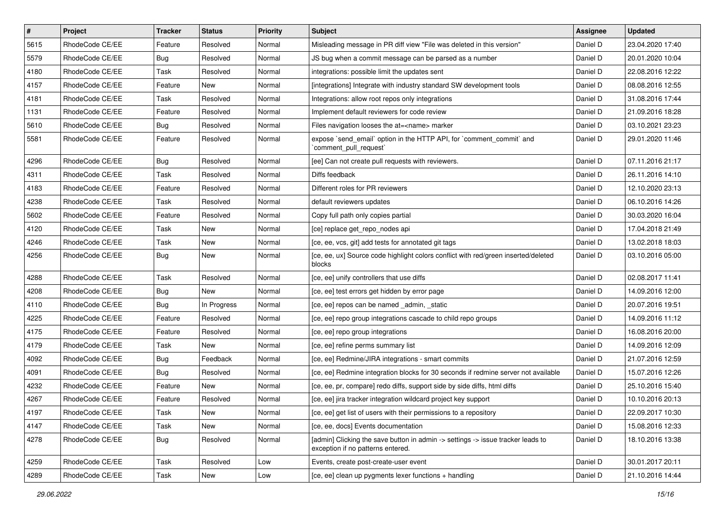| $\vert$ # | Project         | <b>Tracker</b> | <b>Status</b> | <b>Priority</b> | <b>Subject</b>                                                                                                       | Assignee | <b>Updated</b>   |
|-----------|-----------------|----------------|---------------|-----------------|----------------------------------------------------------------------------------------------------------------------|----------|------------------|
| 5615      | RhodeCode CE/EE | Feature        | Resolved      | Normal          | Misleading message in PR diff view "File was deleted in this version"                                                | Daniel D | 23.04.2020 17:40 |
| 5579      | RhodeCode CE/EE | Bug            | Resolved      | Normal          | JS bug when a commit message can be parsed as a number                                                               | Daniel D | 20.01.2020 10:04 |
| 4180      | RhodeCode CE/EE | Task           | Resolved      | Normal          | integrations: possible limit the updates sent                                                                        | Daniel D | 22.08.2016 12:22 |
| 4157      | RhodeCode CE/EE | Feature        | New           | Normal          | [integrations] Integrate with industry standard SW development tools                                                 | Daniel D | 08.08.2016 12:55 |
| 4181      | RhodeCode CE/EE | Task           | Resolved      | Normal          | Integrations: allow root repos only integrations                                                                     | Daniel D | 31.08.2016 17:44 |
| 1131      | RhodeCode CE/EE | Feature        | Resolved      | Normal          | Implement default reviewers for code review                                                                          | Daniel D | 21.09.2016 18:28 |
| 5610      | RhodeCode CE/EE | Bug            | Resolved      | Normal          | Files navigation looses the at= <name> marker</name>                                                                 | Daniel D | 03.10.2021 23:23 |
| 5581      | RhodeCode CE/EE | Feature        | Resolved      | Normal          | expose `send email` option in the HTTP API, for `comment commit` and<br>`comment_pull_request`                       | Daniel D | 29.01.2020 11:46 |
| 4296      | RhodeCode CE/EE | Bug            | Resolved      | Normal          | [ee] Can not create pull requests with reviewers.                                                                    | Daniel D | 07.11.2016 21:17 |
| 4311      | RhodeCode CE/EE | Task           | Resolved      | Normal          | Diffs feedback                                                                                                       | Daniel D | 26.11.2016 14:10 |
| 4183      | RhodeCode CE/EE | Feature        | Resolved      | Normal          | Different roles for PR reviewers                                                                                     | Daniel D | 12.10.2020 23:13 |
| 4238      | RhodeCode CE/EE | Task           | Resolved      | Normal          | default reviewers updates                                                                                            | Daniel D | 06.10.2016 14:26 |
| 5602      | RhodeCode CE/EE | Feature        | Resolved      | Normal          | Copy full path only copies partial                                                                                   | Daniel D | 30.03.2020 16:04 |
| 4120      | RhodeCode CE/EE | Task           | New           | Normal          | [ce] replace get_repo_nodes api                                                                                      | Daniel D | 17.04.2018 21:49 |
| 4246      | RhodeCode CE/EE | Task           | New           | Normal          | [ce, ee, vcs, git] add tests for annotated git tags                                                                  | Daniel D | 13.02.2018 18:03 |
| 4256      | RhodeCode CE/EE | Bug            | New           | Normal          | [ce, ee, ux] Source code highlight colors conflict with red/green inserted/deleted<br>blocks                         | Daniel D | 03.10.2016 05:00 |
| 4288      | RhodeCode CE/EE | Task           | Resolved      | Normal          | [ce, ee] unify controllers that use diffs                                                                            | Daniel D | 02.08.2017 11:41 |
| 4208      | RhodeCode CE/EE | <b>Bug</b>     | New           | Normal          | [ce, ee] test errors get hidden by error page                                                                        | Daniel D | 14.09.2016 12:00 |
| 4110      | RhodeCode CE/EE | Bug            | In Progress   | Normal          | [ce, ee] repos can be named _admin, _static                                                                          | Daniel D | 20.07.2016 19:51 |
| 4225      | RhodeCode CE/EE | Feature        | Resolved      | Normal          | [ce, ee] repo group integrations cascade to child repo groups                                                        | Daniel D | 14.09.2016 11:12 |
| 4175      | RhodeCode CE/EE | Feature        | Resolved      | Normal          | [ce, ee] repo group integrations                                                                                     | Daniel D | 16.08.2016 20:00 |
| 4179      | RhodeCode CE/EE | Task           | New           | Normal          | [ce, ee] refine perms summary list                                                                                   | Daniel D | 14.09.2016 12:09 |
| 4092      | RhodeCode CE/EE | Bug            | Feedback      | Normal          | [ce, ee] Redmine/JIRA integrations - smart commits                                                                   | Daniel D | 21.07.2016 12:59 |
| 4091      | RhodeCode CE/EE | Bug            | Resolved      | Normal          | [ce, ee] Redmine integration blocks for 30 seconds if redmine server not available                                   | Daniel D | 15.07.2016 12:26 |
| 4232      | RhodeCode CE/EE | Feature        | New           | Normal          | [ce, ee, pr, compare] redo diffs, support side by side diffs, html diffs                                             | Daniel D | 25.10.2016 15:40 |
| 4267      | RhodeCode CE/EE | Feature        | Resolved      | Normal          | [ce, ee] jira tracker integration wildcard project key support                                                       | Daniel D | 10.10.2016 20:13 |
| 4197      | RhodeCode CE/EE | Task           | New           | Normal          | [ce, ee] get list of users with their permissions to a repository                                                    | Daniel D | 22.09.2017 10:30 |
| 4147      | RhodeCode CE/EE | Task           | New           | Normal          | [ce, ee, docs] Events documentation                                                                                  | Daniel D | 15.08.2016 12:33 |
| 4278      | RhodeCode CE/EE | Bug            | Resolved      | Normal          | [admin] Clicking the save button in admin -> settings -> issue tracker leads to<br>exception if no patterns entered. | Daniel D | 18.10.2016 13:38 |
| 4259      | RhodeCode CE/EE | Task           | Resolved      | Low             | Events, create post-create-user event                                                                                | Daniel D | 30.01.2017 20:11 |
| 4289      | RhodeCode CE/EE | Task           | New           | Low             | [ce, ee] clean up pygments lexer functions + handling                                                                | Daniel D | 21.10.2016 14:44 |